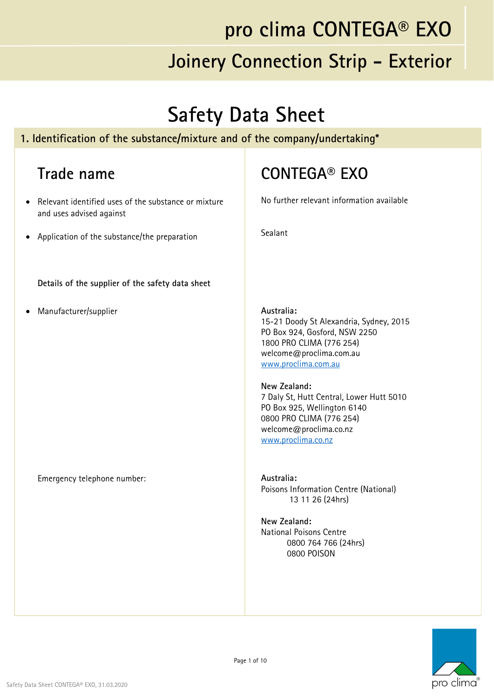#### **Safety Data Sheet**

#### **1. Identification of the substance/mixture and of the company/undertaking\***

#### **Trade name**

- Relevant identified uses of the substance or mixture and uses advised against
- Application of the substance/the preparation

**Details of the supplier of the safety data sheet**

Manufacturer/supplier

Emergency telephone number:

#### **CONTEGA® EXO**

No further relevant information available

Sealant

**Australia:**  15-21 Doody St Alexandria, Sydney, 2015 PO Box 924, Gosford, NSW 2250 1800 PRO CLIMA (776 254) welcome@proclima.com.au www.proclima.com.au

**New Zealand:**  7 Daly St, Hutt Central, Lower Hutt 5010 PO Box 925, Wellington 6140 0800 PRO CLIMA (776 254) welcome@proclima.co.nz www.proclima.co.nz

**Australia:**  Poisons Information Centre (National) 13 11 26 (24hrs)

**New Zealand:**  National Poisons Centre 0800 764 766 (24hrs) 0800 POISON

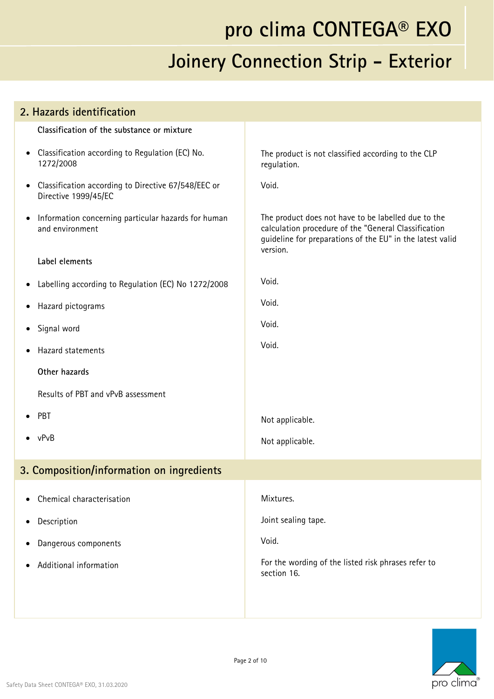| 2. Hazards identification                                                                |                                                                                                                                                                                      |  |
|------------------------------------------------------------------------------------------|--------------------------------------------------------------------------------------------------------------------------------------------------------------------------------------|--|
| Classification of the substance or mixture                                               |                                                                                                                                                                                      |  |
| Classification according to Regulation (EC) No.<br>$\bullet$<br>1272/2008                | The product is not classified according to the CLP<br>regulation.                                                                                                                    |  |
| Classification according to Directive 67/548/EEC or<br>$\bullet$<br>Directive 1999/45/EC | Void.                                                                                                                                                                                |  |
| Information concerning particular hazards for human<br>$\bullet$<br>and environment      | The product does not have to be labelled due to the<br>calculation procedure of the "General Classification<br>guideline for preparations of the EU" in the latest valid<br>version. |  |
| Label elements                                                                           |                                                                                                                                                                                      |  |
| Labelling according to Regulation (EC) No 1272/2008<br>$\bullet$                         | Void.                                                                                                                                                                                |  |
| Hazard pictograms<br>$\bullet$                                                           | Void.                                                                                                                                                                                |  |
| Signal word<br>$\bullet$                                                                 | Void.                                                                                                                                                                                |  |
| Hazard statements                                                                        | Void.                                                                                                                                                                                |  |
| Other hazards                                                                            |                                                                                                                                                                                      |  |
| Results of PBT and vPvB assessment                                                       |                                                                                                                                                                                      |  |
| PBT<br>$\bullet$                                                                         | Not applicable.                                                                                                                                                                      |  |
| $\bullet$ vPvB                                                                           | Not applicable.                                                                                                                                                                      |  |
| 3. Composition/information on ingredients                                                |                                                                                                                                                                                      |  |
| Chemical characterisation                                                                | Mixtures.                                                                                                                                                                            |  |
| Description<br>٠                                                                         | Joint sealing tape.                                                                                                                                                                  |  |
| Dangerous components<br>٠                                                                | Void.                                                                                                                                                                                |  |
| Additional information<br>٠                                                              | For the wording of the listed risk phrases refer to<br>section 16.                                                                                                                   |  |
|                                                                                          |                                                                                                                                                                                      |  |

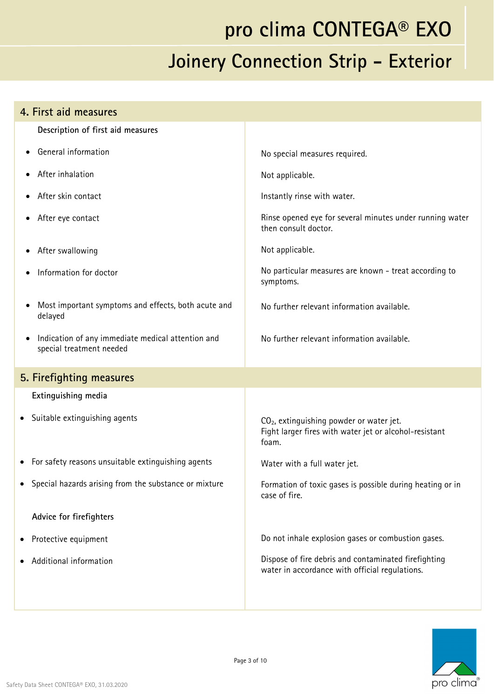| 4. First aid measures                                                         |                                                                                                                         |
|-------------------------------------------------------------------------------|-------------------------------------------------------------------------------------------------------------------------|
| Description of first aid measures                                             |                                                                                                                         |
| General information                                                           | No special measures required.                                                                                           |
| After inhalation                                                              | Not applicable.                                                                                                         |
| After skin contact                                                            | Instantly rinse with water.                                                                                             |
| After eye contact                                                             | Rinse opened eye for several minutes under running water<br>then consult doctor.                                        |
| After swallowing                                                              | Not applicable.                                                                                                         |
| Information for doctor                                                        | No particular measures are known - treat according to<br>symptoms.                                                      |
| Most important symptoms and effects, both acute and<br>delayed                | No further relevant information available.                                                                              |
| Indication of any immediate medical attention and<br>special treatment needed | No further relevant information available.                                                                              |
| 5. Firefighting measures                                                      |                                                                                                                         |
| Extinguishing media                                                           |                                                                                                                         |
| Suitable extinguishing agents<br>$\bullet$                                    | CO <sub>2</sub> , extinguishing powder or water jet.<br>Fight larger fires with water jet or alcohol-resistant<br>foam. |
| For safety reasons unsuitable extinguishing agents                            | Water with a full water jet.                                                                                            |
| Special hazards arising from the substance or mixture                         | Formation of toxic gases is possible during heating or in<br>case of fire.                                              |
| Advice for firefighters                                                       |                                                                                                                         |
| Protective equipment                                                          | Do not inhale explosion gases or combustion gases.                                                                      |
| Additional information                                                        | Dispose of fire debris and contaminated firefighting<br>water in accordance with official regulations.                  |
|                                                                               |                                                                                                                         |

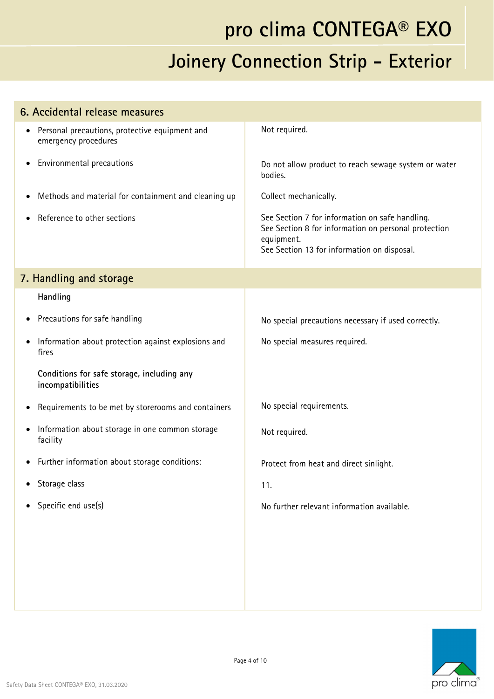| 6. Accidental release measures                                                      |                                                                                                                                                                      |
|-------------------------------------------------------------------------------------|----------------------------------------------------------------------------------------------------------------------------------------------------------------------|
| Personal precautions, protective equipment and<br>$\bullet$<br>emergency procedures | Not required.                                                                                                                                                        |
| Environmental precautions<br>$\bullet$                                              | Do not allow product to reach sewage system or water<br>bodies.                                                                                                      |
| Methods and material for containment and cleaning up<br>$\bullet$                   | Collect mechanically.                                                                                                                                                |
| Reference to other sections                                                         | See Section 7 for information on safe handling.<br>See Section 8 for information on personal protection<br>equipment.<br>See Section 13 for information on disposal. |
| 7. Handling and storage                                                             |                                                                                                                                                                      |
| Handling                                                                            |                                                                                                                                                                      |
| Precautions for safe handling<br>٠                                                  | No special precautions necessary if used correctly.                                                                                                                  |
| Information about protection against explosions and<br>fires                        | No special measures required.                                                                                                                                        |
| Conditions for safe storage, including any<br>incompatibilities                     |                                                                                                                                                                      |
| Requirements to be met by storerooms and containers<br>٠                            | No special requirements.                                                                                                                                             |
| Information about storage in one common storage<br>$\bullet$<br>facility            | Not required.                                                                                                                                                        |
| Further information about storage conditions:<br>$\bullet$                          | Protect from heat and direct sinlight.                                                                                                                               |
| Storage class<br>$\bullet$                                                          | 11.                                                                                                                                                                  |
| Specific end use(s)<br>$\bullet$                                                    | No further relevant information available.                                                                                                                           |
|                                                                                     |                                                                                                                                                                      |
|                                                                                     |                                                                                                                                                                      |
|                                                                                     |                                                                                                                                                                      |
|                                                                                     |                                                                                                                                                                      |

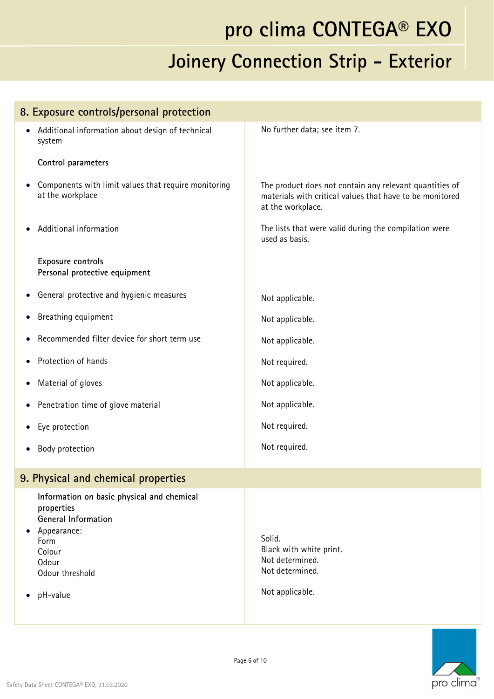| 8. Exposure controls/personal protection                                                                                                                        |                                                                                                                                          |
|-----------------------------------------------------------------------------------------------------------------------------------------------------------------|------------------------------------------------------------------------------------------------------------------------------------------|
| Additional information about design of technical<br>system                                                                                                      | No further data; see item 7.                                                                                                             |
| Control parameters                                                                                                                                              |                                                                                                                                          |
| Components with limit values that require monitoring<br>at the workplace                                                                                        | The product does not contain any relevant quantities of<br>materials with critical values that have to be monitored<br>at the workplace. |
| Additional information                                                                                                                                          | The lists that were valid during the compilation were<br>used as basis.                                                                  |
| Exposure controls<br>Personal protective equipment                                                                                                              |                                                                                                                                          |
| General protective and hygienic measures<br>$\bullet$                                                                                                           | Not applicable.                                                                                                                          |
| Breathing equipment                                                                                                                                             | Not applicable.                                                                                                                          |
| Recommended filter device for short term use                                                                                                                    | Not applicable.                                                                                                                          |
| Protection of hands                                                                                                                                             | Not required.                                                                                                                            |
| Material of gloves<br>$\bullet$                                                                                                                                 | Not applicable.                                                                                                                          |
| Penetration time of glove material<br>٠                                                                                                                         | Not applicable.                                                                                                                          |
| Eye protection                                                                                                                                                  | Not required.                                                                                                                            |
| Body protection                                                                                                                                                 | Not required.                                                                                                                            |
| 9. Physical and chemical properties                                                                                                                             |                                                                                                                                          |
| Information on basic physical and chemical<br>properties<br><b>General Information</b><br>Appearance:<br>Form<br>Colour<br>Odour<br>Odour threshold<br>pH-value | Solid.<br>Black with white print.<br>Not determined.<br>Not determined.<br>Not applicable.                                               |
|                                                                                                                                                                 |                                                                                                                                          |

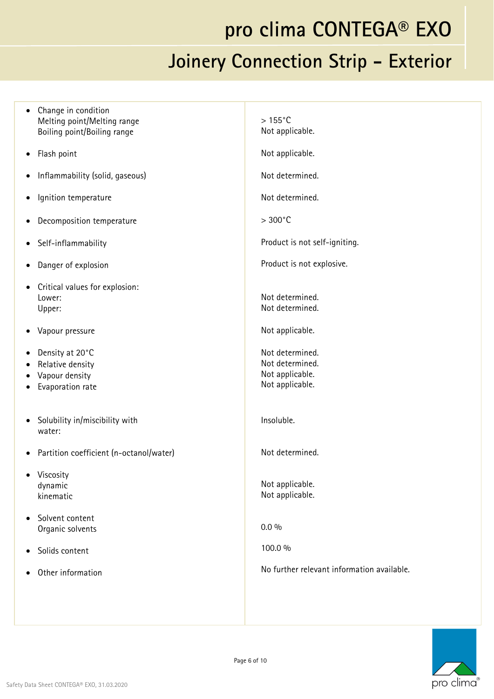| • Change in condition<br>Melting point/Melting range<br>Boiling point/Boiling range          | $>155^{\circ}$ C<br>Not applicable.                                      |
|----------------------------------------------------------------------------------------------|--------------------------------------------------------------------------|
| • Flash point                                                                                | Not applicable.                                                          |
| Inflammability (solid, gaseous)<br>$\bullet$                                                 | Not determined.                                                          |
| Ignition temperature<br>$\bullet$                                                            | Not determined.                                                          |
| • Decomposition temperature                                                                  | $>300^{\circ}$ C                                                         |
| • Self-inflammability                                                                        | Product is not self-igniting.                                            |
| • Danger of explosion                                                                        | Product is not explosive.                                                |
| Critical values for explosion:<br>$\bullet$<br>Lower:<br>Upper:                              | Not determined.<br>Not determined.                                       |
| • Vapour pressure                                                                            | Not applicable.                                                          |
| • Density at 20 $^{\circ}$ C<br>• Relative density<br>• Vapour density<br>• Evaporation rate | Not determined.<br>Not determined.<br>Not applicable.<br>Not applicable. |
| • Solubility in/miscibility with<br>water:                                                   | Insoluble.                                                               |
| • Partition coefficient (n-octanol/water)                                                    | Not determined.                                                          |
| • Viscosity<br>dynamic<br>kinematic                                                          | Not applicable.<br>Not applicable.                                       |
| • Solvent content<br>Organic solvents                                                        | $0.0\%$                                                                  |
| Solids content<br>٠                                                                          | 100.0 %                                                                  |
| Other information<br>$\bullet$                                                               | No further relevant information available.                               |
|                                                                                              |                                                                          |

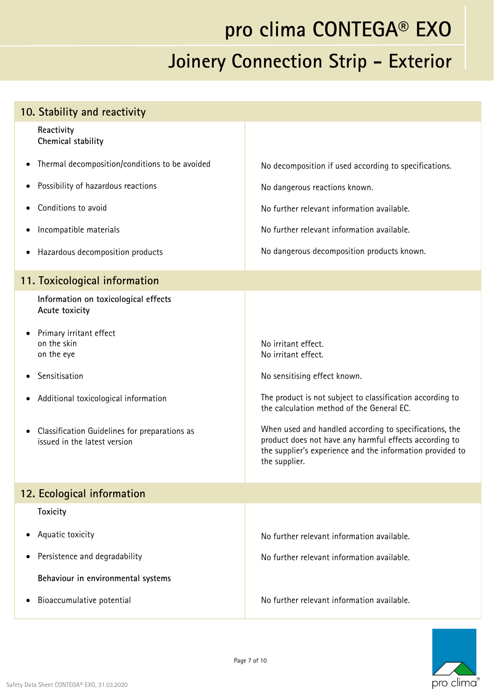| 10. Stability and reactivity                                                               |                                                                                                                                                                                                |
|--------------------------------------------------------------------------------------------|------------------------------------------------------------------------------------------------------------------------------------------------------------------------------------------------|
| Reactivity<br>Chemical stability                                                           |                                                                                                                                                                                                |
| Thermal decomposition/conditions to be avoided<br>٠                                        | No decomposition if used according to specifications.                                                                                                                                          |
| Possibility of hazardous reactions<br>$\bullet$                                            | No dangerous reactions known.                                                                                                                                                                  |
| Conditions to avoid                                                                        | No further relevant information available.                                                                                                                                                     |
| Incompatible materials<br>٠                                                                | No further relevant information available.                                                                                                                                                     |
| Hazardous decomposition products<br>٠                                                      | No dangerous decomposition products known.                                                                                                                                                     |
| 11. Toxicological information                                                              |                                                                                                                                                                                                |
| Information on toxicological effects<br>Acute toxicity                                     |                                                                                                                                                                                                |
| Primary irritant effect<br>٠<br>on the skin<br>on the eye                                  | No irritant effect.<br>No irritant effect.                                                                                                                                                     |
| Sensitisation                                                                              | No sensitising effect known.                                                                                                                                                                   |
| Additional toxicological information<br>٠                                                  | The product is not subject to classification according to<br>the calculation method of the General EC.                                                                                         |
| Classification Guidelines for preparations as<br>$\bullet$<br>issued in the latest version | When used and handled according to specifications, the<br>product does not have any harmful effects according to<br>the supplier's experience and the information provided to<br>the supplier. |
| 12. Ecological information                                                                 |                                                                                                                                                                                                |
| <b>Toxicity</b>                                                                            |                                                                                                                                                                                                |
| Aquatic toxicity                                                                           | No further relevant information available.                                                                                                                                                     |
| Persistence and degradability<br>٠                                                         | No further relevant information available.                                                                                                                                                     |
| Behaviour in environmental systems                                                         |                                                                                                                                                                                                |
| Bioaccumulative potential                                                                  | No further relevant information available.                                                                                                                                                     |

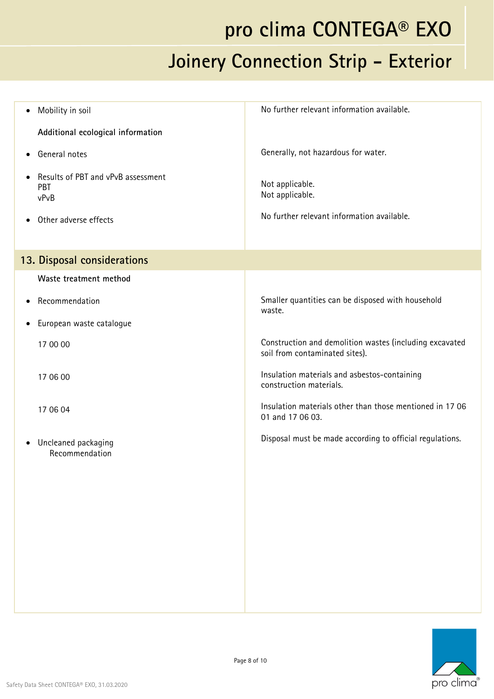### **pro clima CONTEGA® EXO**

#### **Joinery Connection Strip - Exterior**

| Mobility in soil<br>$\bullet$                                  | No further relevant information available.                                                |
|----------------------------------------------------------------|-------------------------------------------------------------------------------------------|
| Additional ecological information                              |                                                                                           |
| General notes<br>$\bullet$                                     | Generally, not hazardous for water.                                                       |
| Results of PBT and vPvB assessment<br>$\bullet$<br>PBT<br>vPvB | Not applicable.<br>Not applicable.                                                        |
| Other adverse effects<br>$\bullet$                             | No further relevant information available.                                                |
| 13. Disposal considerations                                    |                                                                                           |
| Waste treatment method                                         |                                                                                           |
| Recommendation<br>$\bullet$                                    | Smaller quantities can be disposed with household<br>waste.                               |
| European waste catalogue<br>$\bullet$                          |                                                                                           |
| 17 00 00                                                       | Construction and demolition wastes (including excavated<br>soil from contaminated sites). |
| 17 06 00                                                       | Insulation materials and asbestos-containing<br>construction materials.                   |
| 17 06 04                                                       | Insulation materials other than those mentioned in 17 06<br>01 and 17 06 03.              |
| Uncleaned packaging<br>$\bullet$<br>Recommendation             | Disposal must be made according to official regulations.                                  |
|                                                                |                                                                                           |
|                                                                |                                                                                           |
|                                                                |                                                                                           |
|                                                                |                                                                                           |
|                                                                |                                                                                           |
|                                                                |                                                                                           |

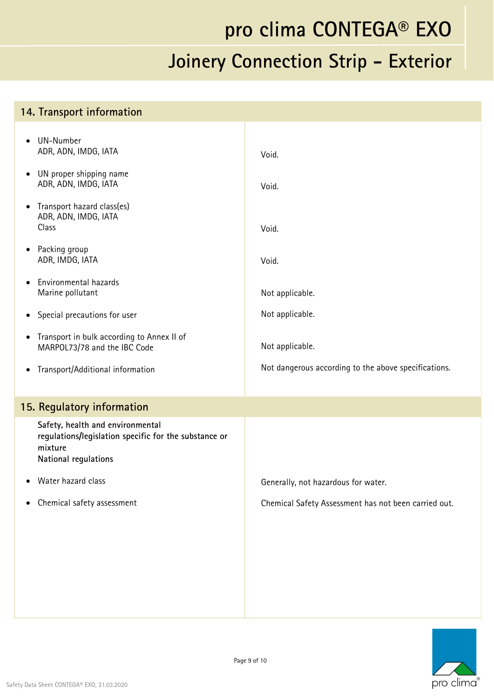#### **14. Transport information**

|           | UN-Number<br>ADR, ADN, IMDG, IATA                                                                                            | Void.                                                |
|-----------|------------------------------------------------------------------------------------------------------------------------------|------------------------------------------------------|
|           | UN proper shipping name<br>ADR, ADN, IMDG, IATA                                                                              | Void.                                                |
| $\bullet$ | Transport hazard class(es)<br>ADR, ADN, IMDG, IATA<br>Class                                                                  | Void.                                                |
|           | Packing group<br>ADR, IMDG, IATA                                                                                             | Void.                                                |
|           | Environmental hazards<br>Marine pollutant                                                                                    | Not applicable.                                      |
| $\bullet$ | Special precautions for user                                                                                                 | Not applicable.                                      |
| $\bullet$ | Transport in bulk according to Annex II of<br>MARPOL73/78 and the IBC Code                                                   | Not applicable.                                      |
| $\bullet$ | Transport/Additional information                                                                                             | Not dangerous according to the above specifications. |
|           | 15. Regulatory information                                                                                                   |                                                      |
|           | Safety, health and environmental<br>regulations/legislation specific for the substance or<br>mixture<br>National regulations |                                                      |
|           | Water hazard class                                                                                                           | Generally, not hazardous for water.                  |
|           | Chemical safety assessment                                                                                                   | Chemical Safety Assessment has not been carried out. |
|           |                                                                                                                              |                                                      |
|           |                                                                                                                              |                                                      |
|           |                                                                                                                              |                                                      |
|           |                                                                                                                              |                                                      |